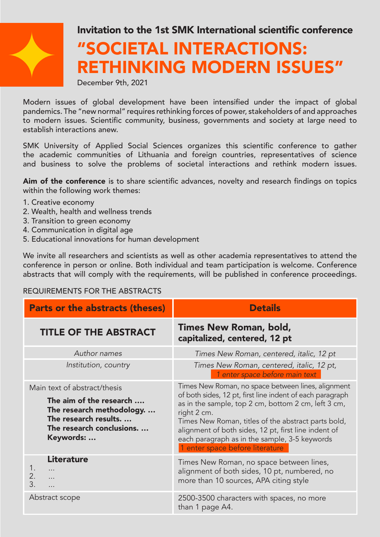

## Invitation to the 1st SMK International scientific conference

# "SOCIETAL INTERACTIONS: RETHINKING MODERN ISSUES"

December 9th, 2021

Modern issues of global development have been intensified under the impact of global pandemics. The "new normal" requires rethinking forces of power, stakeholders of and approaches to modern issues. Scientific community, business, governments and society at large need to establish interactions anew.

SMK University of Applied Social Sciences organizes this scientific conference to gather the academic communities of Lithuania and foreign countries, representatives of science and business to solve the problems of societal interactions and rethink modern issues.

Aim of the conference is to share scientific advances, novelty and research findings on topics within the following work themes:

- 1. Creative economy
- 2. Wealth, health and wellness trends
- 3. Transition to green economy
- 4. Communication in digital age
- 5. Educational innovations for human development

We invite all researchers and scientists as well as other academia representatives to attend the conference in person or online. Both individual and team participation is welcome. Conference abstracts that will comply with the requirements, will be published in conference proceedings.

#### REQUIREMENTS FOR THE ABSTRACTS

| <b>Parts or the abstracts (theses)</b>                                                                                                                 | <b>Details</b>                                                                                                                                                                                                                                                                                                                                                                           |
|--------------------------------------------------------------------------------------------------------------------------------------------------------|------------------------------------------------------------------------------------------------------------------------------------------------------------------------------------------------------------------------------------------------------------------------------------------------------------------------------------------------------------------------------------------|
| <b>TITLE OF THE ABSTRACT</b>                                                                                                                           | Times New Roman, bold,<br>capitalized, centered, 12 pt                                                                                                                                                                                                                                                                                                                                   |
| Author names                                                                                                                                           | Times New Roman, centered, italic, 12 pt                                                                                                                                                                                                                                                                                                                                                 |
| Institution, country                                                                                                                                   | Times New Roman, centered, italic, 12 pt,<br>1 enter space before main text                                                                                                                                                                                                                                                                                                              |
| Main text of abstract/thesis<br>The aim of the research<br>The research methodology.<br>The research results.<br>The research conclusions<br>Keywords: | Times New Roman, no space between lines, alignment<br>of both sides, 12 pt, first line indent of each paragraph<br>as in the sample, top 2 cm, bottom 2 cm, left 3 cm,<br>right 2 cm.<br>Times New Roman, titles of the abstract parts bold,<br>alignment of both sides, 12 pt, first line indent of<br>each paragraph as in the sample, 3-5 keywords<br>1 enter space before literature |
| <b>Literature</b><br>$\ddotsc$<br>2.<br>$\cdots$<br>$\overline{3}$ .<br>.                                                                              | Times New Roman, no space between lines,<br>alignment of both sides, 10 pt, numbered, no<br>more than 10 sources, APA citing style                                                                                                                                                                                                                                                       |
| Abstract scope                                                                                                                                         | 2500-3500 characters with spaces, no more<br>than 1 page A4.                                                                                                                                                                                                                                                                                                                             |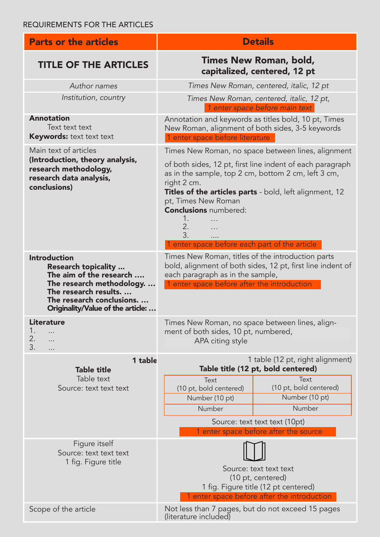| <b>Parts or the articles</b>                                                                                                                                                                | <b>Details</b>                                                                                                                                                                                                                                                                                                                                                             |
|---------------------------------------------------------------------------------------------------------------------------------------------------------------------------------------------|----------------------------------------------------------------------------------------------------------------------------------------------------------------------------------------------------------------------------------------------------------------------------------------------------------------------------------------------------------------------------|
| <b>TITLE OF THE ARTICLES</b>                                                                                                                                                                | Times New Roman, bold,<br>capitalized, centered, 12 pt                                                                                                                                                                                                                                                                                                                     |
| Author names                                                                                                                                                                                | Times New Roman, centered, italic, 12 pt                                                                                                                                                                                                                                                                                                                                   |
| Institution, country                                                                                                                                                                        | Times New Roman, centered, italic, 12 pt,<br>1 enter space before main text                                                                                                                                                                                                                                                                                                |
| <b>Annotation</b><br>Text text text<br><b>Keywords:</b> text text text                                                                                                                      | Annotation and keywords as titles bold, 10 pt, Times<br>New Roman, alignment of both sides, 3-5 keywords<br>1 enter space before literature                                                                                                                                                                                                                                |
| Main text of articles<br>(Introduction, theory analysis,<br>research methodology,<br>research data analysis,<br>conclusions)                                                                | Times New Roman, no space between lines, alignment<br>of both sides, 12 pt, first line indent of each paragraph<br>as in the sample, top 2 cm, bottom 2 cm, left 3 cm,<br>right 2 cm.<br>Titles of the articles parts - bold, left alignment, 12<br>pt, Times New Roman<br><b>Conclusions numbered:</b><br>1.<br>2.<br>3.<br>1 enter space before each part of the article |
| <b>Introduction</b><br>Research topicality<br>The aim of the research<br>The research methodology.<br>The research results<br>The research conclusions<br>Originality/Value of the article: | Times New Roman, titles of the introduction parts<br>bold, alignment of both sides, 12 pt, first line indent of<br>each paragraph as in the sample,<br>1 enter space before after the introduction                                                                                                                                                                         |
| <b>Literature</b><br>1.<br>2.<br>.<br>3.<br>.                                                                                                                                               | Times New Roman, no space between lines, align-<br>ment of both sides, 10 pt, numbered,<br>APA citing style                                                                                                                                                                                                                                                                |
| 1 table<br><b>Table title</b>                                                                                                                                                               | 1 table (12 pt, right alignment)<br>Table title (12 pt, bold centered)                                                                                                                                                                                                                                                                                                     |
| Table text<br>Source: text text text                                                                                                                                                        | Text<br>Text<br>(10 pt, bold centered)<br>(10 pt, bold centered)<br>Number (10 pt)<br>Number (10 pt)<br>Number<br>Number<br>Source: text text text (10pt)<br>1 enter space before after the source                                                                                                                                                                         |
| Figure itself<br>Source: text text text<br>1 fig. Figure title                                                                                                                              | Source: text text text<br>(10 pt, centered)<br>1 fig. Figure title (12 pt centered)<br>1 enter space before after the introduction                                                                                                                                                                                                                                         |
| Scope of the article                                                                                                                                                                        | Not less than 7 pages, but do not exceed 15 pages<br>(literature included)                                                                                                                                                                                                                                                                                                 |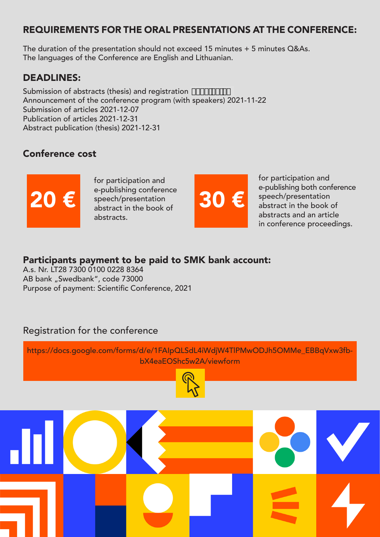#### REQUIREMENTS FOR THE ORAL PRESENTATIONS AT THE CONFERENCE:

The duration of the presentation should not exceed 15 minutes  $+ 5$  minutes Q&As. The languages of the Conference are English and Lithuanian.

#### DEADLINES:

Submission of abstracts (thesis) and registration  $\mathsf{G}\!\mathsf{C}\!\mathsf{F}\mathsf{F}\mathsf{F}\!\mathsf{F}\!\mathsf{F}$ Announcement of the conference program (with speakers) 2021-11-22 Submission of articles 2021-12-07 Publication of articles 2021-12-31 Abstract publication (thesis) 2021-12-31

## Conference cost



for participation and e-publishing conference speech/presentation abstract in the book of abstracts. 20 € speech/presentation 30 €



for participation and e-publishing both conference speech/presentation abstract in the book of abstracts and an article in conference proceedings.

#### Participants payment to be paid to SMK bank account:

A.s. Nr. LT28 7300 0100 0228 8364 AB bank "Swedbank", code 73000 Purpose of payment: Scientific Conference, 2021

### Registration for the conference